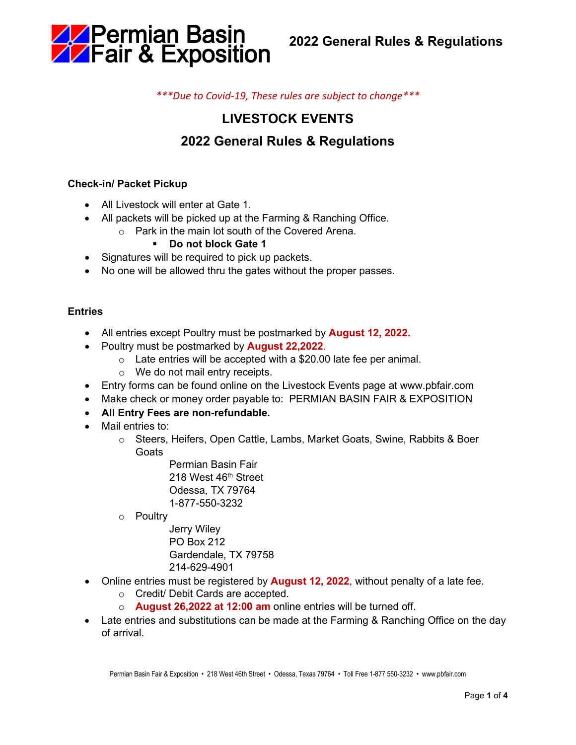

*\*\*\*Due to Covid-19, These rules are subject to change\*\*\**

# **LIVESTOCK EVENTS**

# **2022 General Rules & Regulations**

## **Check-in/ Packet Pickup**

- All Livestock will enter at Gate 1
- All packets will be picked up at the Farming & Ranching Office.
	- o Park in the main lot south of the Covered Arena.

### **Do not block Gate 1**

- Signatures will be required to pick up packets.
- No one will be allowed thru the gates without the proper passes.

#### **Entries**

- All entries except Poultry must be postmarked by **August 12, 2022.**
- Poultry must be postmarked by **August 22,2022**.
	- $\circ$  Late entries will be accepted with a \$20.00 late fee per animal.
	- o We do not mail entry receipts.
- Entry forms can be found online on the Livestock Events page at www.pbfair.com
- Make check or money order payable to: PERMIAN BASIN FAIR & EXPOSITION
- **All Entry Fees are non-refundable.**
- Mail entries to:
	- o Steers, Heifers, Open Cattle, Lambs, Market Goats, Swine, Rabbits & Boer Goats

Permian Basin Fair 218 West 46<sup>th</sup> Street Odessa, TX 79764 1-877-550-3232

- o Poultry
	- Jerry Wiley PO Box 212 Gardendale, TX 79758 214-629-4901
- Online entries must be registered by **August 12, 2022**, without penalty of a late fee.
	- o Credit/ Debit Cards are accepted.
	- o **August 26,2022 at 12:00 am** online entries will be turned off.
- Late entries and substitutions can be made at the Farming & Ranching Office on the day of arrival.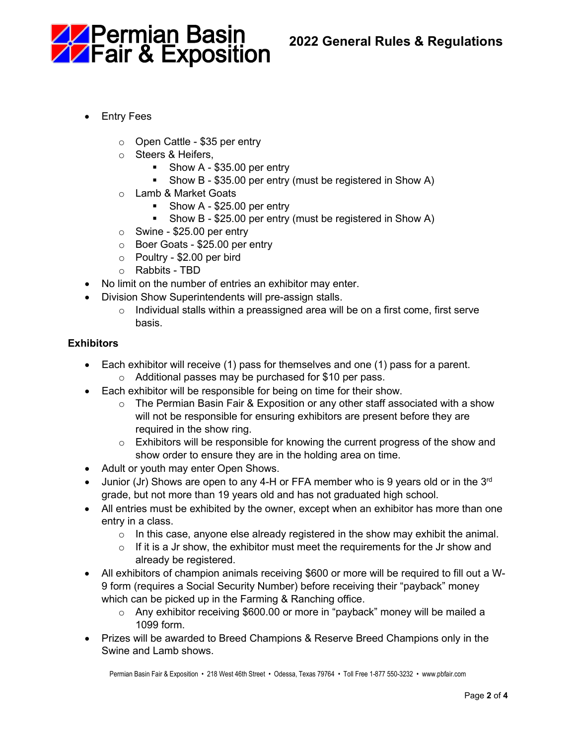



- Entry Fees
	- o Open Cattle \$35 per entry
	- o Steers & Heifers,
		- Show A \$35.00 per entry
		- Show B \$35.00 per entry (must be registered in Show A)
	- o Lamb & Market Goats
		- Show A \$25.00 per entry
		- Show B \$25.00 per entry (must be registered in Show A)
	- $\circ$  Swine \$25.00 per entry
	- o Boer Goats \$25.00 per entry
	- o Poultry \$2.00 per bird
	- o Rabbits TBD
- No limit on the number of entries an exhibitor may enter.
- Division Show Superintendents will pre-assign stalls.
	- $\circ$  Individual stalls within a preassigned area will be on a first come, first serve basis.

### **Exhibitors**

- Each exhibitor will receive (1) pass for themselves and one (1) pass for a parent.
	- o Additional passes may be purchased for \$10 per pass.
- Each exhibitor will be responsible for being on time for their show.
	- $\circ$  The Permian Basin Fair & Exposition or any other staff associated with a show will not be responsible for ensuring exhibitors are present before they are required in the show ring.
	- $\circ$  Exhibitors will be responsible for knowing the current progress of the show and show order to ensure they are in the holding area on time.
- Adult or youth may enter Open Shows.
- Junior (Jr) Shows are open to any 4-H or FFA member who is 9 years old or in the  $3<sup>rd</sup>$ grade, but not more than 19 years old and has not graduated high school.
- All entries must be exhibited by the owner, except when an exhibitor has more than one entry in a class.
	- $\circ$  In this case, anyone else already registered in the show may exhibit the animal.
	- $\circ$  If it is a Jr show, the exhibitor must meet the requirements for the Jr show and already be registered.
- All exhibitors of champion animals receiving \$600 or more will be required to fill out a W-9 form (requires a Social Security Number) before receiving their "payback" money which can be picked up in the Farming & Ranching office.
	- $\circ$  Any exhibitor receiving \$600.00 or more in "payback" money will be mailed a 1099 form.
- Prizes will be awarded to Breed Champions & Reserve Breed Champions only in the Swine and Lamb shows.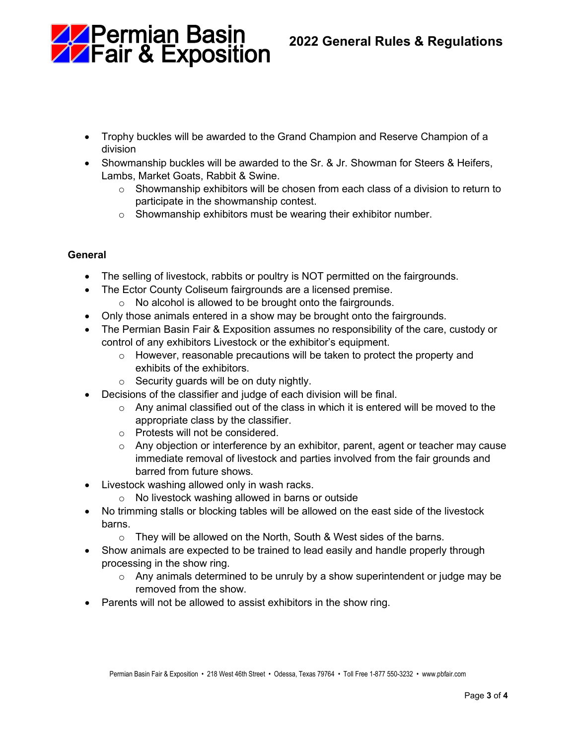

- Trophy buckles will be awarded to the Grand Champion and Reserve Champion of a division
- Showmanship buckles will be awarded to the Sr. & Jr. Showman for Steers & Heifers, Lambs, Market Goats, Rabbit & Swine.
	- $\circ$  Showmanship exhibitors will be chosen from each class of a division to return to participate in the showmanship contest.
	- $\circ$  Showmanship exhibitors must be wearing their exhibitor number.

## **General**

- The selling of livestock, rabbits or poultry is NOT permitted on the fairgrounds.
- The Ector County Coliseum fairgrounds are a licensed premise.
	- $\circ$  No alcohol is allowed to be brought onto the fairgrounds.
- Only those animals entered in a show may be brought onto the fairgrounds.
- The Permian Basin Fair & Exposition assumes no responsibility of the care, custody or control of any exhibitors Livestock or the exhibitor's equipment.
	- $\circ$  However, reasonable precautions will be taken to protect the property and exhibits of the exhibitors.
	- $\circ$  Security guards will be on duty nightly.
- Decisions of the classifier and judge of each division will be final.
	- $\circ$  Any animal classified out of the class in which it is entered will be moved to the appropriate class by the classifier.
	- o Protests will not be considered.
	- $\circ$  Any objection or interference by an exhibitor, parent, agent or teacher may cause immediate removal of livestock and parties involved from the fair grounds and barred from future shows.
- Livestock washing allowed only in wash racks.
	- o No livestock washing allowed in barns or outside
- No trimming stalls or blocking tables will be allowed on the east side of the livestock barns.
	- $\circ$  They will be allowed on the North, South & West sides of the barns.
- Show animals are expected to be trained to lead easily and handle properly through processing in the show ring.
	- $\circ$  Any animals determined to be unruly by a show superintendent or judge may be removed from the show.
- Parents will not be allowed to assist exhibitors in the show ring.